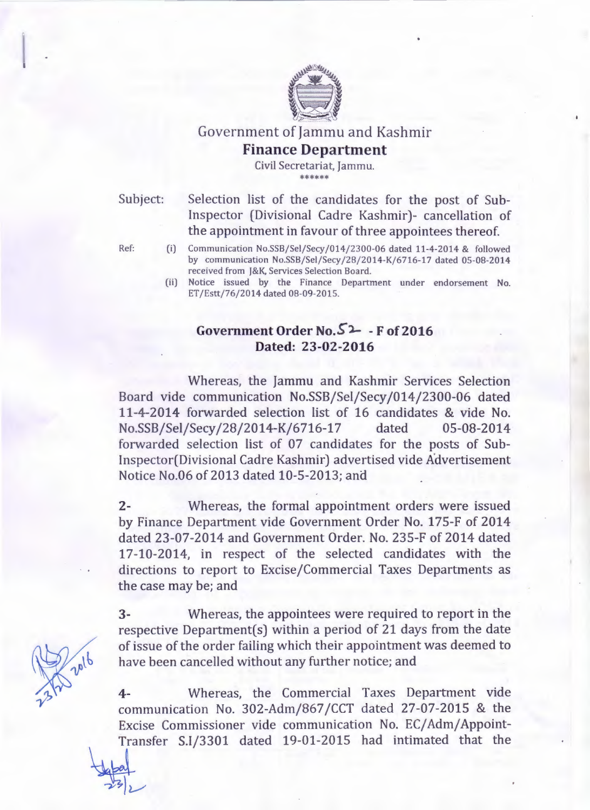

## Government of Jammu and Kashmir **Finance Department**

Civil Secretariat, Jammu. \*\*\*\*\*\*\*\*

Subject: Selection list of the candidates for the post of Sub-Inspector (Divisional Cadre Kashmir)- cancellation of the appointment in favour of three appointees thereof.

Ref: (i) Communication No.SSB/Sel/Secy/014/2300-06 dated 11-4-2014 & followed by communication No.SSB/Sel/Secy/28/2014-K/6716-17 dated 05-08-2014 received from J&K, Services Selection Board.

> (ii) Notice issued by the Finance Department under endorsement No. ET /Estt/76/2014 dated 08-09-2015.

# **Government Order No.S°'l- - F of2016 Dated: 23-02-2016**

Whereas, the Jammu and Kashmir Services Selection Board vide communication No.SSB/Sel/Secy/014/2300-06 dated 11-4-2014 forwarded selection list of 16 candidates & vide No. No.SSB/Sel/Secy /28/2014-K/6716-17 dated 05-08-2014 forwarded selection list of 07 candidates for the posts of Sub-Inspector(Divisional Cadre Kashmir) advertised vide Advertisement Notice No.06 of 2013 dated 10-5-2013; and

2- Whereas, the formal appointment orders were issued by Finance Department vide Government Order No. 175-F of 2014 dated 23-07-2014 and Government Order. No. 235-F of 2014 dated 17-10-2014, in respect of the selected candidates with the directions to report to Excise/Commercial Taxes Departments as the case may be; and

3- Whereas, the appointees were required to report in the respective Department $(s)$  within a period of 21 days from the date of issue of the order failing which their appointment was deemed to have been cancelled without any further notice; and

**4-** Whereas, the Commercial Taxes Department vide communication No. 302-Adm/867 /CCT dated 27-07-2015 & the Excise Commissioner vide communication No. EC/Adm/Appoint-Transfer S.I/3301 dated 19-01-2015 had intimated that the

 $-232$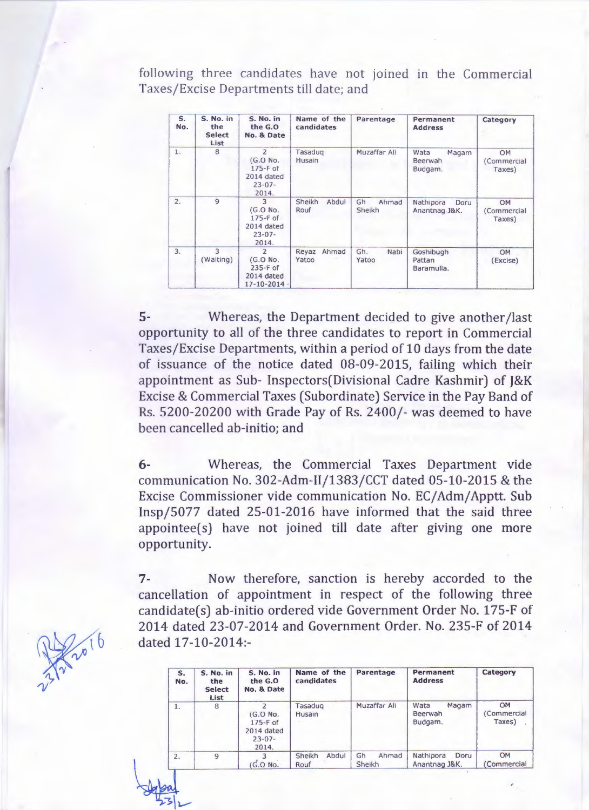following three candidates have not joined in the Commercial Taxes/Excise Departments till date; and

| S.<br>No. | S. No. in<br>the<br><b>Select</b><br>List | S. No. in<br>the G.O.<br>No. & Date                                              | Name of the<br>candidates | Parentage             | Permanent<br><b>Address</b>         | Category<br>OM<br>(Commercial<br>Taxes) |
|-----------|-------------------------------------------|----------------------------------------------------------------------------------|---------------------------|-----------------------|-------------------------------------|-----------------------------------------|
| 1.        | 8                                         | $\overline{2}$<br>$(G.O$ No.<br>$175-F$ of<br>2014 dated<br>$23 - 07 -$<br>2014. | Tasadug<br><b>Husain</b>  | Muzaffar Ali          | Wata<br>Magam<br>Beerwah<br>Budgam. |                                         |
| 2.        | $\overline{9}$                            | $\overline{3}$<br>(G.O No.<br>$175-F$ of<br>2014 dated<br>$23 - 07 -$<br>2014.   | Sheikh<br>Abdul<br>Rouf   | Gh<br>Ahmad<br>Sheikh | Nathipora<br>Doru<br>Anantnag J&K.  | OM<br>(Commercial<br>Taxes)             |
| 3.        | 3<br>(Waiting)                            | $\overline{2}$<br>(G.O No.<br>$235-F$ of<br>2014 dated<br>$17 - 10 - 2014$       | Ahmad<br>Reyaz<br>Yatoo   | Gh.<br>Nabi<br>Yatoo  | Goshibugh<br>Pattan<br>Baramulla.   | OM<br>(Excise)                          |

5- Whereas, the Department decided to give another /last opportunity to all of the three candidates to report in Commercial Taxes/Excise Departments, within a period of 10 days from the date of issuance of the notice dated 08-09-2015, failing which their appointment as Sub- Inspectors(Divisional Cadre Kashmir) of J&K Excise & Commercial Taxes (Subordinate) Service in the Pay Band of Rs. 5200-20200 with Grade Pay of Rs. 2400/- was deemed to have been cancelled ab-initio; and

6- Whereas, the Commercial Taxes Department vide communication No. 302-Adm-11/1383/CCT dated 05-10-2015 & the Excise Commissioner vide communication No. EC/ Adm/ Apptt. Sub Insp/5077 dated 25-01-2016 have informed that the said three  $appointee(s)$  have not joined till date after giving one more opportunity.

7- Now therefore, sanction is hereby accorded to the cancellation of appointment in respect of the following three candidate(s) ab-initio ordered vide Government Order No. 175-F of 2014 dated 23-07-2014 and Government Order. No. 235-F of 2014 dated 17-10-2014:-

| $S_{n}$<br>No. | S. No. in<br>the<br><b>Select</b><br>List | S. No. in<br>the G.O.<br>No. & Date                          | Name of the<br>candidates | Parentage             | Permanent<br><b>Address</b>         | Category                   |
|----------------|-------------------------------------------|--------------------------------------------------------------|---------------------------|-----------------------|-------------------------------------|----------------------------|
| 1.             | 8                                         | (G.O No.<br>$175-F$ of<br>2014 dated<br>$23 - 07 -$<br>2014. | Tasadug<br>Husain         | Muzaffar Ali          | Magam<br>Wata<br>Beerwah<br>Budgam. | OM<br>Commercial<br>Taxes) |
| 2.             | $\mathbf{Q}$                              | G.O No.                                                      | Abdul<br>Sheikh<br>Rouf   | Gh<br>Ahmad<br>Sheikh | Nathipora<br>Doru<br>Anantnag J&K.  | OM<br><b>Commercial</b>    |

..



 $$\frac{1}{23}$